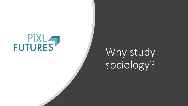# **FUTURES**

## Why study sociology?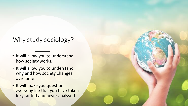### Why study sociology?

- It will allow you to understand how society works.
- It will allow you to understand why and how society changes over time.
- It will make you question everyday life that you have taken for granted and never analysed.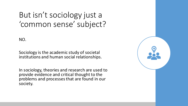## But isn't sociology just a 'common sense' subject?

NO.

Sociology is the academic study of societal institutions and human social relationships.

In sociology, theories and research are used to provide evidence and critical thought to the problems and processes that are found in our society.

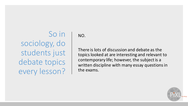So in sociology, do students just debate topics every lesson?

NO.

There is lots of discussion and debate as the topics looked at are interesting and relevant to contemporary life; however, the subject is a written discipline with many essay questions in the exams.

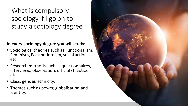What is compulsory sociology if I go on to study a sociology degree?

#### **In every sociology degree you will study:**

- Sociological theories such as Functionalism, Feminism, Postmodernism, social action etc.
- Research methods such as questionnaires, interviews, observation, official statistics etc.
- Class, gender, ethnicity.
- Themes such as power, globalisation and identity.

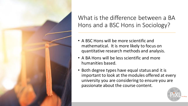![](_page_5_Picture_0.jpeg)

What is the difference between a BA Hons and a BSC Hons in Sociology?

- A BSC Hons will be more scientific and mathematical. It is more likely to focus on quantitative research methods and analysis.
- A BA Hons will be less scientific and more humanities based.
- Both degree types have equal status and it is important to look at the modules offered at every university you are considering to ensure you are passionate about the course content.

![](_page_5_Picture_5.jpeg)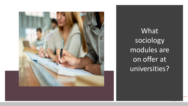![](_page_6_Picture_0.jpeg)

What sociology modules are on offer at universities?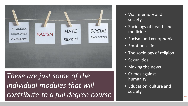![](_page_7_Figure_0.jpeg)

*These are just some of the individual modules that will contribute to a full degree course*

- War, memory and society
- Sociology of health and medicine
- Racism and xenophobia
- Emotional life
- The sociology of religion
- Sexualities
- Making the news
- Crimes against humanity
- Education, culture and society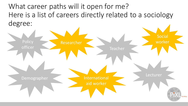What career paths will it open for me? Here is a list of careers directly related to a sociology degree:

![](_page_8_Figure_1.jpeg)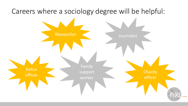![](_page_9_Figure_0.jpeg)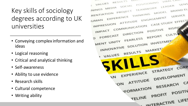Key skills of sociology degrees according to UK universities

- Conveying complex information and ideas
- Logical reasoning
- Critical and analytical thinking
- Self-awareness
- Ability to use evidence
- Research skills
- Cultural competence
- Writing ability

![](_page_10_Picture_9.jpeg)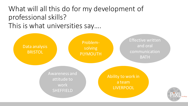### What will all this do for my development of professional skills? This is what universities say….

![](_page_11_Figure_1.jpeg)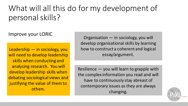## What will all this do for my development of personal skills?

#### Improve your LORIC

Leadership — in sociology, you will need to develop leadership skills when conducting and analysing research. You will develop leadership skills when debating sociological views and justifying the value of them to others.

Organisation — in sociology, you will develop organisational skills by learning how to construct a coherent and logical essay/argument.

Resilience — you will learn to grapple with the complex information you read and will have to continuously stay abreast of contemporary issues as they are always changing.

![](_page_12_Picture_5.jpeg)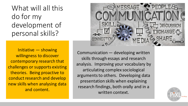What will all this do for my development of personal skills?

Initiative — showing willingness to discover contemporary research that challenges or supports existing theories. Being proactive to conduct research and develop new skills when analysing data and content.

![](_page_13_Picture_2.jpeg)

Communication — developing written skills through essays and research analysis. Improving your vocabulary by articulating complex sociological arguments to others. Developing data presentation skills when explaining research findings, both orally and in a written context.

![](_page_13_Picture_4.jpeg)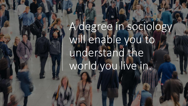## A degree in sociology will enable you to understand the world you live in.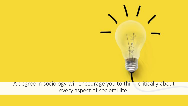#### A degree in sociology will encourage you to think critically about every aspect of societal life.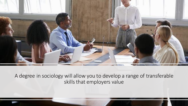![](_page_16_Picture_0.jpeg)

A degree in sociology will allow you to develop a range of transferable skills that employers value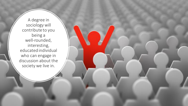A degree in sociology will contribute to you being a well-rounded, interesting, educated individual who can engage in discussion about the society we live in.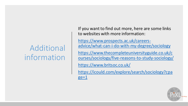## Additional information

If you want to find out more, here are some links to websites with more information:

https://www.prospects.ac.uk/careers[advice/what-can-i-do-with-my-degree/sociology](https://www.prospects.ac.uk/careers-advice/what-can-i-do-with-my-degree/sociology)

[https://www.thecompleteuniversityguide.co.uk/c](https://www.thecompleteuniversityguide.co.uk/courses/sociology/five-reasons-to-study-sociology/) ourses/sociology/five-reasons-to-study-sociology/

<https://www.britsoc.co.uk/>

[https://icould.com/explore/search/sociology?cpa](https://icould.com/explore/search/sociology?cpage=1) ge=1

![](_page_18_Picture_6.jpeg)